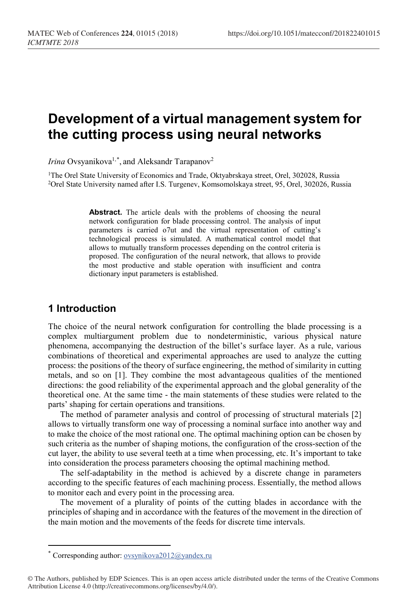# **Development of a virtual management system for the cutting process using neural networks**

*Irina* Ovsyanikova<sup>1,[\\*](#page-0-0)</sup>, and Aleksandr Tarapanov<sup>2</sup>

<sup>1</sup>The Orel State University of Economics and Trade, Oktyabrskaya street, Orel, 302028, Russia 2Orel State University named after I.S. Turgenev, Komsomolskaya street, 95, Orel, 302026, Russia

> **Abstract.** The article deals with the problems of choosing the neural network configuration for blade processing control. The analysis of input parameters is carried o7ut and the virtual representation of cutting's technological process is simulated. A mathematical control model that allows to mutually transform processes depending on the control criteria is proposed. The configuration of the neural network, that allows to provide the most productive and stable operation with insufficient and contra dictionary input parameters is established.

## **1 Introduction**

 $\overline{a}$ 

The choice of the neural network configuration for controlling the blade processing is a complex multiargument problem due to nondeterministic, various physical nature phenomena, accompanying the destruction of the billet's surface layer. As a rule, various combinations of theoretical and experimental approaches are used to analyze the cutting process: the positions of the theory of surface engineering, the method of similarity in cutting metals, and so on [1]. They combine the most advantageous qualities of the mentioned directions: the good reliability of the experimental approach and the global generality of the theoretical one. At the same time - the main statements of these studies were related to the parts' shaping for certain operations and transitions.

The method of parameter analysis and control of processing of structural materials [2] allows to virtually transform one way of processing a nominal surface into another way and to make the choice of the most rational one. The optimal machining option can be chosen by such criteria as the number of shaping motions, the configuration of the cross-section of the cut layer, the ability to use several teeth at a time when processing, etc. It's important to take into consideration the process parameters choosing the optimal machining method.

The self-adaptability in the method is achieved by a discrete change in parameters according to the specific features of each machining process. Essentially, the method allows to monitor each and every point in the processing area.

The movement of a plurality of points of the cutting blades in accordance with the principles of shaping and in accordance with the features of the movement in the direction of the main motion and the movements of the feeds for discrete time intervals.

<sup>\*</sup> Corresponding author: ovsynikova2012@yandex.ru

<span id="page-0-0"></span><sup>©</sup> The Authors, published by EDP Sciences. This is an open access article distributed under the terms of the Creative Commons Attribution License 4.0 (http://creativecommons.org/licenses/by/4.0/).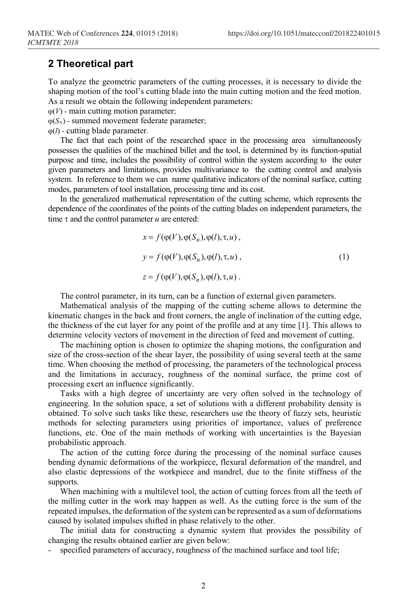#### **2 Theoretical part**

To analyze the geometric parameters of the cutting processes, it is necessary to divide the shaping motion of the tool's cutting blade into the main cutting motion and the feed motion. As a result we obtain the following independent parameters:

 $\varphi(V)$  - main cutting motion parameter;

ϕ(*Sn*) - summed movement federate parameter;

ϕ(*l*) - cutting blade parameter.

The fact that each point of the researched space in the processing area simultaneously possesses the qualities of the machined billet and the tool, is determined by its function-spatial purpose and time, includes the possibility of control within the system according to the outer given parameters and limitations, provides multivariance to the cutting control and analysis system. In reference to them we can name qualitative indicators of the nominal surface, cutting modes, parameters of tool installation, processing time and its cost.

In the generalized mathematical representation of the cutting scheme, which represents the dependence of the coordinates of the points of the cutting blades on independent parameters, the time τ and the control parameter *u* are entered:

$$
x = f(\varphi(V), \varphi(S_n), \varphi(l), \tau, u),
$$
  
\n
$$
y = f(\varphi(V), \varphi(S_n), \varphi(l), \tau, u),
$$
  
\n
$$
z = f(\varphi(V), \varphi(S_n), \varphi(l), \tau, u).
$$
\n(1)

The control parameter, in its turn, can be a function of external given parameters.

Mathematical analysis of the mapping of the cutting scheme allows to determine the kinematic changes in the back and front corners, the angle of inclination of the cutting edge, the thickness of the cut layer for any point of the profile and at any time [1]. This allows to determine velocity vectors of movement in the direction of feed and movement of cutting.

The machining option is chosen to optimize the shaping motions, the configuration and size of the cross-section of the shear layer, the possibility of using several teeth at the same time. When choosing the method of processing, the parameters of the technological process and the limitations in accuracy, roughness of the nominal surface, the prime cost of processing exert an influence significantly.

Tasks with a high degree of uncertainty are very often solved in the technology of engineering. In the solution space, a set of solutions with a different probability density is obtained. To solve such tasks like these, researchers use the theory of fuzzy sets, heuristic methods for selecting parameters using priorities of importance, values of preference functions, etc. One of the main methods of working with uncertainties is the Bayesian probabilistic approach.

The action of the cutting force during the processing of the nominal surface causes bending dynamic deformations of the workpiece, flexural deformation of the mandrel, and also elastic depressions of the workpiece and mandrel, due to the finite stiffness of the supports.

When machining with a multilevel tool, the action of cutting forces from all the teeth of the milling cutter in the work may happen as well. As the cutting force is the sum of the repeated impulses, the deformation of the system can be represented as a sum of deformations caused by isolated impulses shifted in phase relatively to the other.

The initial data for constructing a dynamic system that provides the possibility of changing the results obtained earlier are given below:

specified parameters of accuracy, roughness of the machined surface and tool life;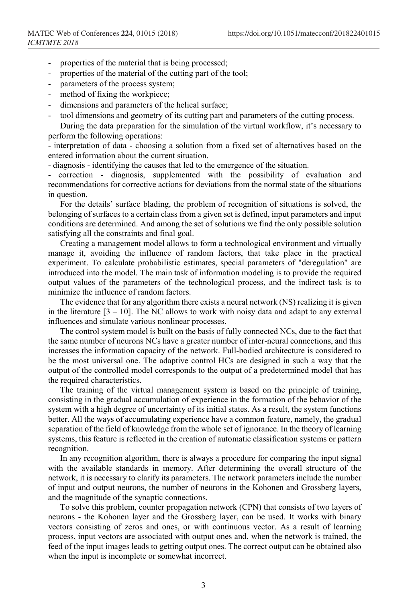- properties of the material that is being processed;
- properties of the material of the cutting part of the tool;
- parameters of the process system;
- method of fixing the workpiece;
- dimensions and parameters of the helical surface;
- tool dimensions and geometry of its cutting part and parameters of the cutting process.

During the data preparation for the simulation of the virtual workflow, it's necessary to perform the following operations:

- interpretation of data - choosing a solution from a fixed set of alternatives based on the entered information about the current situation.

- diagnosis - identifying the causes that led to the emergence of the situation.

correction - diagnosis, supplemented with the possibility of evaluation and recommendations for corrective actions for deviations from the normal state of the situations in question.

For the details' surface blading, the problem of recognition of situations is solved, the belonging of surfaces to a certain class from a given set is defined, input parameters and input conditions are determined. And among the set of solutions we find the only possible solution satisfying all the constraints and final goal.

Creating a management model allows to form a technological environment and virtually manage it, avoiding the influence of random factors, that take place in the practical experiment. To calculate probabilistic estimates, special parameters of "deregulation" are introduced into the model. The main task of information modeling is to provide the required output values of the parameters of the technological process, and the indirect task is to minimize the influence of random factors.

The evidence that for any algorithm there exists a neural network (NS) realizing it is given in the literature  $[3 - 10]$ . The NC allows to work with noisy data and adapt to any external influences and simulate various nonlinear processes.

The control system model is built on the basis of fully connected NCs, due to the fact that the same number of neurons NCs have a greater number of inter-neural connections, and this increases the information capacity of the network. Full-bodied architecture is considered to be the most universal one. The adaptive control HCs are designed in such a way that the output of the controlled model corresponds to the output of a predetermined model that has the required characteristics.

The training of the virtual management system is based on the principle of training, consisting in the gradual accumulation of experience in the formation of the behavior of the system with a high degree of uncertainty of its initial states. As a result, the system functions better. All the ways of accumulating experience have a common feature, namely, the gradual separation of the field of knowledge from the whole set of ignorance. In the theory of learning systems, this feature is reflected in the creation of automatic classification systems or pattern recognition.

In any recognition algorithm, there is always a procedure for comparing the input signal with the available standards in memory. After determining the overall structure of the network, it is necessary to clarify its parameters. The network parameters include the number of input and output neurons, the number of neurons in the Kohonen and Grossberg layers, and the magnitude of the synaptic connections.

To solve this problem, counter propagation network (CPN) that consists of two layers of neurons - the Kohonen layer and the Grossberg layer, can be used. It works with binary vectors consisting of zeros and ones, or with continuous vector. As a result of learning process, input vectors are associated with output ones and, when the network is trained, the feed of the input images leads to getting output ones. The correct output can be obtained also when the input is incomplete or somewhat incorrect.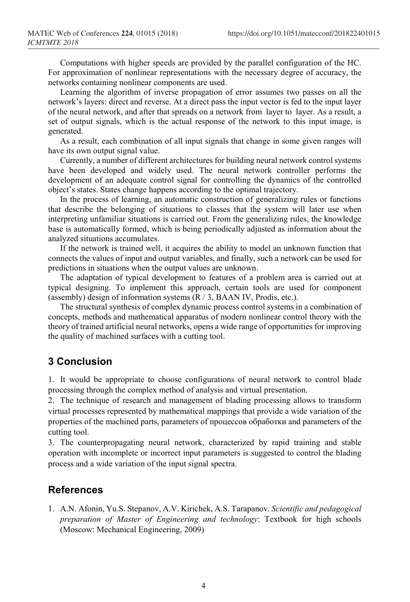Computations with higher speeds are provided by the parallel configuration of the HC. For approximation of nonlinear representations with the necessary degree of accuracy, the networks containing nonlinear components are used.

Learning the algorithm of inverse propagation of error assumes two passes on all the network's layers: direct and reverse. At a direct pass the input vector is fed to the input layer of the neural network, and after that spreads on a network from layer to layer. As a result, a set of output signals, which is the actual response of the network to this input image, is generated.

As a result, each combination of all input signals that change in some given ranges will have its own output signal value.

Currently, a number of different architectures for building neural network control systems have been developed and widely used. The neural network controller performs the development of an adequate control signal for controlling the dynamics of the controlled object's states. States change happens according to the optimal trajectory.

In the process of learning, an automatic construction of generalizing rules or functions that describe the belonging of situations to classes that the system will later use when interpreting unfamiliar situations is carried out. From the generalizing rules, the knowledge base is automatically formed, which is being periodically adjusted as information about the analyzed situations accumulates.

If the network is trained well, it acquires the ability to model an unknown function that connects the values of input and output variables, and finally, such a network can be used for predictions in situations when the output values are unknown.

The adaptation of typical development to features of a problem area is carried out at typical designing. To implement this approach, certain tools are used for component (assembly) design of information systems (R / 3, BAAN IV, Prodis, etc.).

The structural synthesis of complex dynamic process control systems in a combination of concepts, methods and mathematical apparatus of modern nonlinear control theory with the theory of trained artificial neural networks, opens a wide range of opportunities for improving the quality of machined surfaces with a cutting tool.

## **3 Conclusion**

1. It would be appropriate to choose configurations of neural network to control blade processing through the complex method of analysis and virtual presentation.

2. The technique of research and management of blading processing allows to transform virtual processes represented by mathematical mappings that provide a wide variation of the properties of the machined parts, parameters of процессов обработки and parameters of the cutting tool.

3. The counterpropagating neural network, characterized by rapid training and stable operation with incomplete or incorrect input parameters is suggested to control the blading process and a wide variation of the input signal spectra.

### **References**

1. A.N. Afonin, Yu.S. Stepanov, A.V. Kirichek, A.S. Tarapanov. *Scientific and pedagogical preparation of Master of Engineering and technology*: Textbook for high schools (Moscow: Mechanical Engineering, 2009)